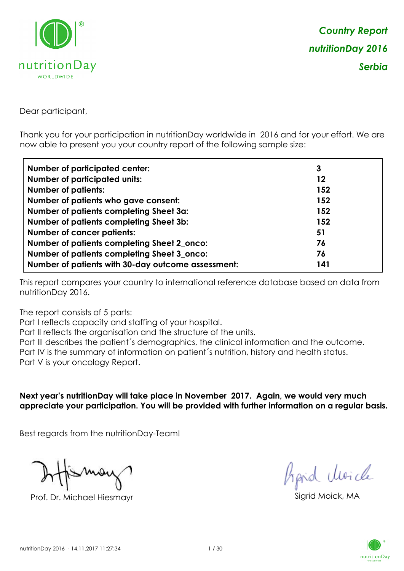

Dear participant,

Thank you for your participation in nutritionDay worldwide in 2016 and for your effort. We are now able to present you your country report of the following sample size:

| <b>Number of participated center:</b>              | 3   |
|----------------------------------------------------|-----|
| <b>Number of participated units:</b>               | 12  |
| <b>Number of patients:</b>                         | 152 |
| Number of patients who gave consent:               | 152 |
| Number of patients completing Sheet 3a:            | 152 |
| <b>Number of patients completing Sheet 3b:</b>     | 152 |
| <b>Number of cancer patients:</b>                  | 51  |
| Number of patients completing Sheet 2_onco:        | 76  |
| Number of patients completing Sheet 3_onco:        | 76  |
| Number of patients with 30-day outcome assessment: | 141 |

This report compares your country to international reference database based on data from nutritionDay 2016.

The report consists of 5 parts:

Part I reflects capacity and staffing of your hospital.

Part II reflects the organisation and the structure of the units.

Part III describes the patient´s demographics, the clinical information and the outcome.

Part IV is the summary of information on patient´s nutrition, history and health status.

Part V is your oncology Report.

**Next year's nutritionDay will take place in November 2017. Again, we would very much appreciate your participation. You will be provided with further information on a regular basis.**

Best regards from the nutritionDay-Team!

Prof. Dr. Michael Hiesmayr Sigrid Moick, MA

hard Moich

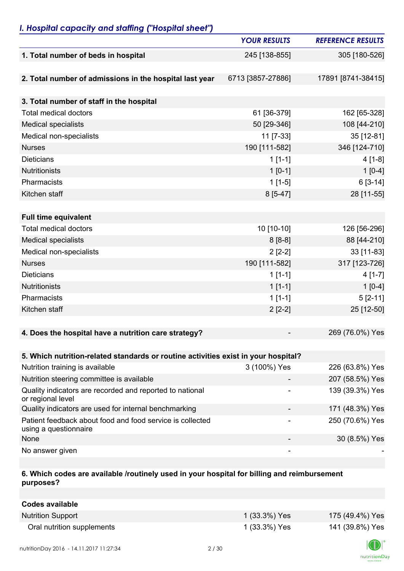# *I. Hospital capacity and staffing ("Hospital sheet")*

|                                                                                    | <b>YOUR RESULTS</b> | <b>REFERENCE RESULTS</b> |
|------------------------------------------------------------------------------------|---------------------|--------------------------|
| 1. Total number of beds in hospital                                                | 245 [138-855]       | 305 [180-526]            |
|                                                                                    |                     |                          |
| 2. Total number of admissions in the hospital last year                            | 6713 [3857-27886]   | 17891 [8741-38415]       |
|                                                                                    |                     |                          |
| 3. Total number of staff in the hospital                                           |                     |                          |
| <b>Total medical doctors</b>                                                       | 61 [36-379]         | 162 [65-328]             |
| <b>Medical specialists</b>                                                         | 50 [29-346]         | 108 [44-210]             |
| Medical non-specialists                                                            | 11 [7-33]           | 35 [12-81]               |
| <b>Nurses</b>                                                                      | 190 [111-582]       | 346 [124-710]            |
| <b>Dieticians</b>                                                                  | $1[1-1]$            | $4[1-8]$                 |
| <b>Nutritionists</b>                                                               | $1 [0-1]$           | $1[0-4]$                 |
| Pharmacists                                                                        | $1[1-5]$            | $6[3-14]$                |
| Kitchen staff                                                                      | $8[5-47]$           | 28 [11-55]               |
|                                                                                    |                     |                          |
| <b>Full time equivalent</b>                                                        |                     |                          |
| <b>Total medical doctors</b>                                                       | 10 [10-10]          | 126 [56-296]             |
| <b>Medical specialists</b>                                                         | $8[8-8]$            | 88 [44-210]              |
| Medical non-specialists                                                            | $2[2-2]$            | 33 [11-83]               |
| <b>Nurses</b>                                                                      | 190 [111-582]       | 317 [123-726]            |
| <b>Dieticians</b>                                                                  | $1[1-1]$            | $4[1-7]$                 |
| <b>Nutritionists</b>                                                               | $1[1-1]$            | $1[0-4]$                 |
| Pharmacists                                                                        | $1[1-1]$            | $5[2-11]$                |
| Kitchen staff                                                                      | $2[2-2]$            | 25 [12-50]               |
|                                                                                    |                     |                          |
| 4. Does the hospital have a nutrition care strategy?                               |                     | 269 (76.0%) Yes          |
|                                                                                    |                     |                          |
| 5. Which nutrition-related standards or routine activities exist in your hospital? |                     |                          |
| Nutrition training is available                                                    | 3 (100%) Yes        | 226 (63.8%) Yes          |
| Nutrition steering committee is available                                          |                     | 207 (58.5%) Yes          |
| Quality indicators are recorded and reported to national<br>or regional level      |                     | 139 (39.3%) Yes          |
| Quality indicators are used for internal benchmarking                              |                     | 171 (48.3%) Yes          |
| Patient feedback about food and food service is collected<br>using a questionnaire |                     | 250 (70.6%) Yes          |
| None                                                                               |                     | 30 (8.5%) Yes            |
| No answer given                                                                    |                     |                          |

### **6. Which codes are available /routinely used in your hospital for billing and reimbursement purposes?**

| Codes available            |               |                 |
|----------------------------|---------------|-----------------|
| <b>Nutrition Support</b>   | 1 (33.3%) Yes | 175 (49.4%) Yes |
| Oral nutrition supplements | 1 (33.3%) Yes | 141 (39.8%) Yes |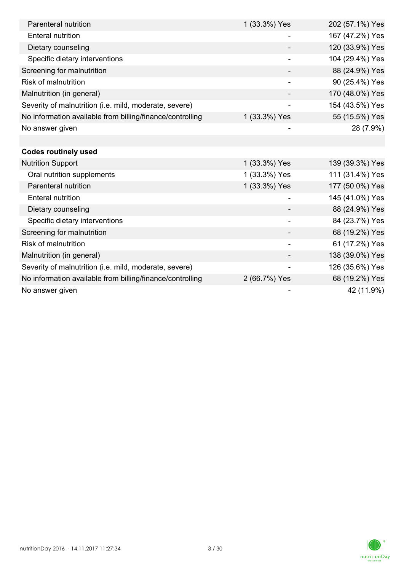| Parenteral nutrition                                      | 1 (33.3%) Yes            | 202 (57.1%) Yes |
|-----------------------------------------------------------|--------------------------|-----------------|
| <b>Enteral nutrition</b>                                  |                          | 167 (47.2%) Yes |
| Dietary counseling                                        |                          | 120 (33.9%) Yes |
| Specific dietary interventions                            |                          | 104 (29.4%) Yes |
| Screening for malnutrition                                |                          | 88 (24.9%) Yes  |
| <b>Risk of malnutrition</b>                               |                          | 90 (25.4%) Yes  |
| Malnutrition (in general)                                 |                          | 170 (48.0%) Yes |
| Severity of malnutrition (i.e. mild, moderate, severe)    | $\overline{\phantom{a}}$ | 154 (43.5%) Yes |
| No information available from billing/finance/controlling | 1 (33.3%) Yes            | 55 (15.5%) Yes  |
| No answer given                                           |                          | 28 (7.9%)       |
|                                                           |                          |                 |
| <b>Codes routinely used</b>                               |                          |                 |
| <b>Nutrition Support</b>                                  | 1 (33.3%) Yes            | 139 (39.3%) Yes |
| Oral nutrition supplements                                | 1 (33.3%) Yes            | 111 (31.4%) Yes |
| Parenteral nutrition                                      | 1 (33.3%) Yes            | 177 (50.0%) Yes |
| <b>Enteral nutrition</b>                                  | -                        | 145 (41.0%) Yes |
| Dietary counseling                                        |                          | 88 (24.9%) Yes  |
| Specific dietary interventions                            |                          | 84 (23.7%) Yes  |
| Screening for malnutrition                                |                          | 68 (19.2%) Yes  |
| Risk of malnutrition                                      |                          | 61 (17.2%) Yes  |
| Malnutrition (in general)                                 |                          | 138 (39.0%) Yes |
| Severity of malnutrition (i.e. mild, moderate, severe)    | -                        | 126 (35.6%) Yes |
| No information available from billing/finance/controlling | 2 (66.7%) Yes            | 68 (19.2%) Yes  |
| No answer given                                           |                          | 42 (11.9%)      |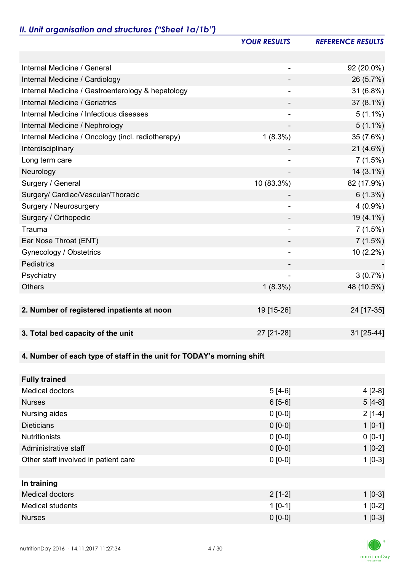# *II. Unit organisation and structures ("Sheet 1a/1b")*

|                                                                       | <b>YOUR RESULTS</b> | <b>REFERENCE RESULTS</b> |
|-----------------------------------------------------------------------|---------------------|--------------------------|
|                                                                       |                     |                          |
| Internal Medicine / General                                           | ۰                   | 92 (20.0%)               |
| Internal Medicine / Cardiology                                        |                     | 26 (5.7%)                |
| Internal Medicine / Gastroenterology & hepatology                     |                     | 31(6.8%)                 |
| Internal Medicine / Geriatrics                                        |                     | 37 (8.1%)                |
| Internal Medicine / Infectious diseases                               |                     | $5(1.1\%)$               |
| Internal Medicine / Nephrology                                        |                     | $5(1.1\%)$               |
| Internal Medicine / Oncology (incl. radiotherapy)                     | $1(8.3\%)$          | 35 (7.6%)                |
| Interdisciplinary                                                     |                     | $21(4.6\%)$              |
| Long term care                                                        |                     | 7(1.5%)                  |
| Neurology                                                             |                     | $14(3.1\%)$              |
| Surgery / General                                                     | 10 (83.3%)          | 82 (17.9%)               |
| Surgery/ Cardiac/Vascular/Thoracic                                    |                     | $6(1.3\%)$               |
| Surgery / Neurosurgery                                                |                     | $4(0.9\%)$               |
| Surgery / Orthopedic                                                  |                     | 19 (4.1%)                |
| Trauma                                                                |                     | 7(1.5%)                  |
| Ear Nose Throat (ENT)                                                 |                     | 7(1.5%)                  |
| Gynecology / Obstetrics                                               |                     | $10(2.2\%)$              |
| Pediatrics                                                            |                     |                          |
| Psychiatry                                                            |                     | 3(0.7%)                  |
| <b>Others</b>                                                         | $1(8.3\%)$          | 48 (10.5%)               |
|                                                                       |                     |                          |
| 2. Number of registered inpatients at noon                            | 19 [15-26]          | 24 [17-35]               |
|                                                                       |                     |                          |
| 3. Total bed capacity of the unit                                     | 27 [21-28]          | 31 [25-44]               |
|                                                                       |                     |                          |
| 4. Number of each type of staff in the unit for TODAY's morning shift |                     |                          |
|                                                                       |                     |                          |
| <b>Fully trained</b>                                                  |                     |                          |
| <b>Medical doctors</b>                                                | $5[4-6]$            | $4[2-8]$                 |
| <b>Nurses</b>                                                         | $6[5-6]$            | $5[4-8]$                 |
| Nursing aides                                                         | $0 [0-0]$           | $2[1-4]$                 |
| <b>Dieticians</b>                                                     | $0 [0-0]$           | $1[0-1]$                 |
| <b>Nutritionists</b>                                                  | $0 [0-0]$           | $0[0-1]$                 |
| Administrative staff                                                  | $0 [0-0]$           | $1[0-2]$                 |
| Other staff involved in patient care                                  | $0 [0-0]$           | $1[0-3]$                 |
|                                                                       |                     |                          |
| In training                                                           |                     |                          |
| <b>Medical doctors</b>                                                | $2[1-2]$            | $1[0-3]$                 |
| <b>Medical students</b>                                               | $1[0-1]$            | $1[0-2]$                 |
| <b>Nurses</b>                                                         | $0 [0-0]$           | $1[0-3]$                 |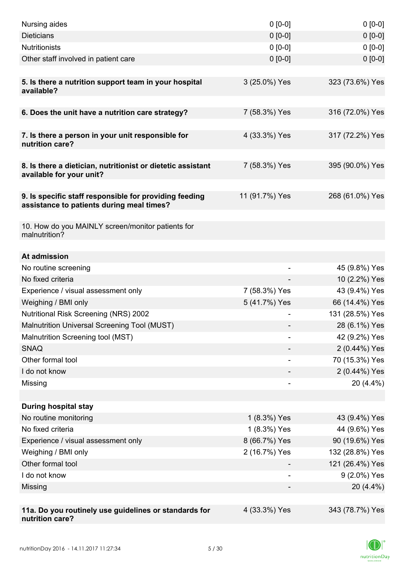| Nursing aides                                                                                       | $0 [0-0]$                | $0 [0-0]$       |
|-----------------------------------------------------------------------------------------------------|--------------------------|-----------------|
| <b>Dieticians</b>                                                                                   | $0 [0-0]$                | $0 [0-0]$       |
| <b>Nutritionists</b>                                                                                | $0 [0-0]$                | $0[0-0]$        |
| Other staff involved in patient care                                                                | $0 [0-0]$                | $0 [0-0]$       |
|                                                                                                     |                          |                 |
| 5. Is there a nutrition support team in your hospital<br>available?                                 | 3 (25.0%) Yes            | 323 (73.6%) Yes |
|                                                                                                     |                          |                 |
| 6. Does the unit have a nutrition care strategy?                                                    | 7 (58.3%) Yes            | 316 (72.0%) Yes |
| 7. Is there a person in your unit responsible for<br>nutrition care?                                | 4 (33.3%) Yes            | 317 (72.2%) Yes |
| 8. Is there a dietician, nutritionist or dietetic assistant<br>available for your unit?             | 7 (58.3%) Yes            | 395 (90.0%) Yes |
| 9. Is specific staff responsible for providing feeding<br>assistance to patients during meal times? | 11 (91.7%) Yes           | 268 (61.0%) Yes |
| 10. How do you MAINLY screen/monitor patients for<br>malnutrition?                                  |                          |                 |
| At admission                                                                                        |                          |                 |
| No routine screening                                                                                |                          | 45 (9.8%) Yes   |
| No fixed criteria                                                                                   |                          | 10 (2.2%) Yes   |
| Experience / visual assessment only                                                                 | 7 (58.3%) Yes            | 43 (9.4%) Yes   |
| Weighing / BMI only                                                                                 | 5 (41.7%) Yes            | 66 (14.4%) Yes  |
| <b>Nutritional Risk Screening (NRS) 2002</b>                                                        |                          | 131 (28.5%) Yes |
| Malnutrition Universal Screening Tool (MUST)                                                        |                          | 28 (6.1%) Yes   |
| Malnutrition Screening tool (MST)                                                                   |                          | 42 (9.2%) Yes   |
| <b>SNAQ</b>                                                                                         |                          | 2 (0.44%) Yes   |
| Other formal tool                                                                                   |                          | 70 (15.3%) Yes  |
| I do not know                                                                                       |                          | 2 (0.44%) Yes   |
| Missing                                                                                             | $\overline{\phantom{a}}$ | 20 (4.4%)       |
|                                                                                                     |                          |                 |
| <b>During hospital stay</b>                                                                         |                          |                 |
| No routine monitoring                                                                               | 1 (8.3%) Yes             | 43 (9.4%) Yes   |
| No fixed criteria                                                                                   | 1 (8.3%) Yes             | 44 (9.6%) Yes   |
| Experience / visual assessment only                                                                 | 8 (66.7%) Yes            | 90 (19.6%) Yes  |
| Weighing / BMI only                                                                                 | 2 (16.7%) Yes            | 132 (28.8%) Yes |
| Other formal tool                                                                                   |                          | 121 (26.4%) Yes |
| I do not know                                                                                       |                          | 9 (2.0%) Yes    |
| Missing                                                                                             |                          | 20 (4.4%)       |
| 11a. Do you routinely use guidelines or standards for<br>nutrition care?                            | 4 (33.3%) Yes            | 343 (78.7%) Yes |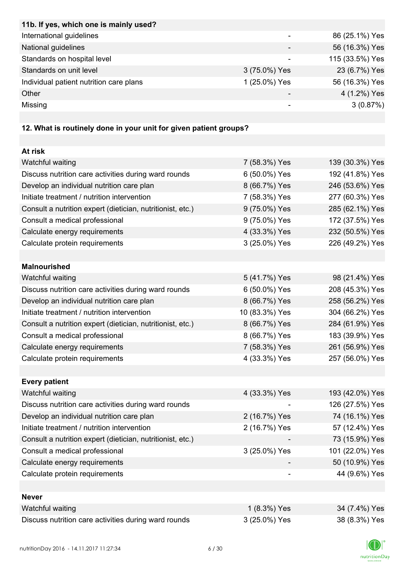| 11b. If yes, which one is mainly used?  |               |                 |
|-----------------------------------------|---------------|-----------------|
| International guidelines                |               | 86 (25.1%) Yes  |
| National guidelines                     |               | 56 (16.3%) Yes  |
| Standards on hospital level             |               | 115 (33.5%) Yes |
| Standards on unit level                 | 3 (75.0%) Yes | 23 (6.7%) Yes   |
| Individual patient nutrition care plans | 1 (25.0%) Yes | 56 (16.3%) Yes  |
| Other                                   | -             | 4 (1.2%) Yes    |
| Missing                                 |               | 3(0.87%)        |
|                                         |               |                 |

# **12. What is routinely done in your unit for given patient groups?**

| At risk                                                    |                |                 |
|------------------------------------------------------------|----------------|-----------------|
| Watchful waiting                                           | 7 (58.3%) Yes  | 139 (30.3%) Yes |
| Discuss nutrition care activities during ward rounds       | 6 (50.0%) Yes  | 192 (41.8%) Yes |
| Develop an individual nutrition care plan                  | 8 (66.7%) Yes  | 246 (53.6%) Yes |
| Initiate treatment / nutrition intervention                | 7 (58.3%) Yes  | 277 (60.3%) Yes |
| Consult a nutrition expert (dietician, nutritionist, etc.) | 9 (75.0%) Yes  | 285 (62.1%) Yes |
| Consult a medical professional                             | 9 (75.0%) Yes  | 172 (37.5%) Yes |
| Calculate energy requirements                              | 4 (33.3%) Yes  | 232 (50.5%) Yes |
| Calculate protein requirements                             | 3 (25.0%) Yes  | 226 (49.2%) Yes |
|                                                            |                |                 |
| <b>Malnourished</b>                                        |                |                 |
| Watchful waiting                                           | 5 (41.7%) Yes  | 98 (21.4%) Yes  |
| Discuss nutrition care activities during ward rounds       | 6 (50.0%) Yes  | 208 (45.3%) Yes |
| Develop an individual nutrition care plan                  | 8 (66.7%) Yes  | 258 (56.2%) Yes |
| Initiate treatment / nutrition intervention                | 10 (83.3%) Yes | 304 (66.2%) Yes |
| Consult a nutrition expert (dietician, nutritionist, etc.) | 8 (66.7%) Yes  | 284 (61.9%) Yes |
| Consult a medical professional                             | 8 (66.7%) Yes  | 183 (39.9%) Yes |
| Calculate energy requirements                              | 7 (58.3%) Yes  | 261 (56.9%) Yes |
| Calculate protein requirements                             | 4 (33.3%) Yes  | 257 (56.0%) Yes |
|                                                            |                |                 |
| <b>Every patient</b>                                       |                |                 |
| Watchful waiting                                           | 4 (33.3%) Yes  | 193 (42.0%) Yes |
| Discuss nutrition care activities during ward rounds       |                | 126 (27.5%) Yes |
| Develop an individual nutrition care plan                  | 2 (16.7%) Yes  | 74 (16.1%) Yes  |
| Initiate treatment / nutrition intervention                | 2 (16.7%) Yes  | 57 (12.4%) Yes  |
| Consult a nutrition expert (dietician, nutritionist, etc.) |                | 73 (15.9%) Yes  |
| Consult a medical professional                             | 3 (25.0%) Yes  | 101 (22.0%) Yes |
| Calculate energy requirements                              |                | 50 (10.9%) Yes  |
| Calculate protein requirements                             |                | 44 (9.6%) Yes   |
|                                                            |                |                 |
| <b>Never</b>                                               |                |                 |
| Watchful waiting                                           | 1 (8.3%) Yes   | 34 (7.4%) Yes   |
| Discuss nutrition care activities during ward rounds       | 3 (25.0%) Yes  | 38 (8.3%) Yes   |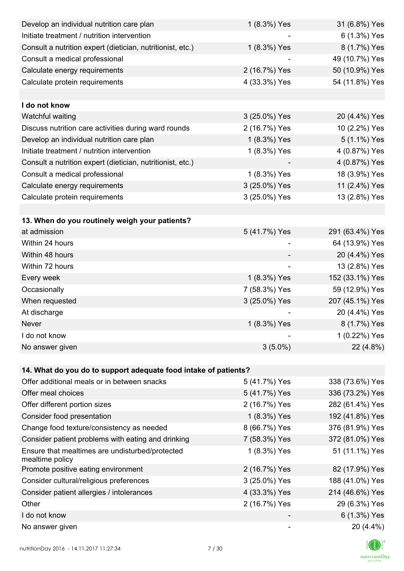| Develop an individual nutrition care plan                          | 1 (8.3%) Yes  | 31 (6.8%) Yes   |
|--------------------------------------------------------------------|---------------|-----------------|
| Initiate treatment / nutrition intervention                        |               | 6 (1.3%) Yes    |
| Consult a nutrition expert (dietician, nutritionist, etc.)         | 1 (8.3%) Yes  | 8 (1.7%) Yes    |
| Consult a medical professional                                     |               | 49 (10.7%) Yes  |
| Calculate energy requirements                                      | 2 (16.7%) Yes | 50 (10.9%) Yes  |
| Calculate protein requirements                                     | 4 (33.3%) Yes | 54 (11.8%) Yes  |
|                                                                    |               |                 |
| I do not know                                                      |               |                 |
| Watchful waiting                                                   | 3 (25.0%) Yes | 20 (4.4%) Yes   |
| Discuss nutrition care activities during ward rounds               | 2 (16.7%) Yes | 10 (2.2%) Yes   |
| Develop an individual nutrition care plan                          | 1 (8.3%) Yes  | 5 (1.1%) Yes    |
| Initiate treatment / nutrition intervention                        | 1 (8.3%) Yes  | 4 (0.87%) Yes   |
| Consult a nutrition expert (dietician, nutritionist, etc.)         |               | 4 (0.87%) Yes   |
| Consult a medical professional                                     | 1 (8.3%) Yes  | 18 (3.9%) Yes   |
| Calculate energy requirements                                      | 3 (25.0%) Yes | 11 (2.4%) Yes   |
| Calculate protein requirements                                     | 3 (25.0%) Yes | 13 (2.8%) Yes   |
|                                                                    |               |                 |
| 13. When do you routinely weigh your patients?                     |               |                 |
| at admission                                                       | 5 (41.7%) Yes | 291 (63.4%) Yes |
| Within 24 hours                                                    |               | 64 (13.9%) Yes  |
| Within 48 hours                                                    |               | 20 (4.4%) Yes   |
| Within 72 hours                                                    |               | 13 (2.8%) Yes   |
| Every week                                                         | 1 (8.3%) Yes  | 152 (33.1%) Yes |
| Occasionally                                                       | 7 (58.3%) Yes | 59 (12.9%) Yes  |
| When requested                                                     | 3 (25.0%) Yes | 207 (45.1%) Yes |
| At discharge                                                       |               | 20 (4.4%) Yes   |
| Never                                                              | 1 (8.3%) Yes  | 8 (1.7%) Yes    |
| I do not know                                                      |               | 1 (0.22%) Yes   |
| No answer given                                                    | $3(5.0\%)$    | 22 (4.8%)       |
|                                                                    |               |                 |
| 14. What do you do to support adequate food intake of patients?    |               |                 |
| Offer additional meals or in between snacks                        | 5 (41.7%) Yes | 338 (73.6%) Yes |
| Offer meal choices                                                 | 5 (41.7%) Yes | 336 (73.2%) Yes |
| Offer different portion sizes                                      | 2 (16.7%) Yes | 282 (61.4%) Yes |
| Consider food presentation                                         | 1 (8.3%) Yes  | 192 (41.8%) Yes |
| Change food texture/consistency as needed                          | 8 (66.7%) Yes | 376 (81.9%) Yes |
| Consider patient problems with eating and drinking                 | 7 (58.3%) Yes | 372 (81.0%) Yes |
| Ensure that mealtimes are undisturbed/protected<br>mealtime policy | 1 (8.3%) Yes  | 51 (11.1%) Yes  |
| Promote positive eating environment                                | 2 (16.7%) Yes | 82 (17.9%) Yes  |
| Consider cultural/religious preferences                            | 3 (25.0%) Yes | 188 (41.0%) Yes |
| Consider patient allergies / intolerances                          | 4 (33.3%) Yes | 214 (46.6%) Yes |
| Other                                                              | 2 (16.7%) Yes | 29 (6.3%) Yes   |
| I do not know                                                      |               | 6 (1.3%) Yes    |
| No answer given                                                    |               | 20 (4.4%)       |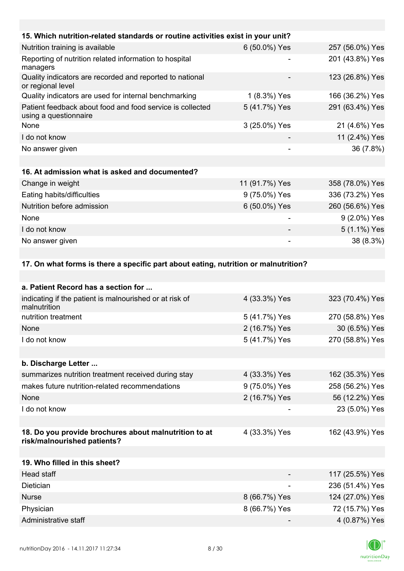| 15. Which nutrition-related standards or routine activities exist in your unit?     |                |                 |
|-------------------------------------------------------------------------------------|----------------|-----------------|
| Nutrition training is available                                                     | 6 (50.0%) Yes  | 257 (56.0%) Yes |
| Reporting of nutrition related information to hospital<br>managers                  |                | 201 (43.8%) Yes |
| Quality indicators are recorded and reported to national<br>or regional level       |                | 123 (26.8%) Yes |
| Quality indicators are used for internal benchmarking                               | 1 (8.3%) Yes   | 166 (36.2%) Yes |
| Patient feedback about food and food service is collected<br>using a questionnaire  | 5 (41.7%) Yes  | 291 (63.4%) Yes |
| None                                                                                | 3 (25.0%) Yes  | 21 (4.6%) Yes   |
| I do not know                                                                       |                | 11 (2.4%) Yes   |
| No answer given                                                                     |                | 36 (7.8%)       |
|                                                                                     |                |                 |
| 16. At admission what is asked and documented?                                      |                |                 |
| Change in weight                                                                    | 11 (91.7%) Yes | 358 (78.0%) Yes |
| Eating habits/difficulties                                                          | 9 (75.0%) Yes  | 336 (73.2%) Yes |
| Nutrition before admission                                                          | 6 (50.0%) Yes  | 260 (56.6%) Yes |
| None                                                                                |                | 9 (2.0%) Yes    |
| I do not know                                                                       |                | 5 (1.1%) Yes    |
| No answer given                                                                     |                | 38 (8.3%)       |
|                                                                                     |                |                 |
| 17. On what forms is there a specific part about eating, nutrition or malnutrition? |                |                 |
|                                                                                     |                |                 |
| a. Patient Record has a section for                                                 |                |                 |
| indicating if the patient is malnourished or at risk of<br>malnutrition             | 4 (33.3%) Yes  | 323 (70.4%) Yes |
| nutrition treatment                                                                 | 5 (41.7%) Yes  | 270 (58.8%) Yes |
| None                                                                                | 2 (16.7%) Yes  | 30 (6.5%) Yes   |

I do not know 5 (41.7%) Yes 270 (58.8%) Yes

**b. Discharge Letter ...**

| summarizes nutrition treatment received during stay | 4 (33.3%) Yes            | 162 (35.3%) Yes |
|-----------------------------------------------------|--------------------------|-----------------|
| makes future nutrition-related recommendations      | 9 (75.0%) Yes            | 258 (56.2%) Yes |
| None                                                | 2 (16.7%) Yes            | 56 (12.2%) Yes  |
| I do not know                                       | $\overline{\phantom{0}}$ | 23 (5.0%) Yes   |
|                                                     |                          |                 |

#### **18. Do you provide brochures about malnutrition to at risk/malnourished patients?**

| 19. Who filled in this sheet? |               |                 |
|-------------------------------|---------------|-----------------|
| Head staff                    |               | 117 (25.5%) Yes |
| Dietician                     |               | 236 (51.4%) Yes |
| <b>Nurse</b>                  | 8 (66.7%) Yes | 124 (27.0%) Yes |
| Physician                     | 8 (66.7%) Yes | 72 (15.7%) Yes  |
| Administrative staff          |               | 4 (0.87%) Yes   |



4 (33.3%) Yes 162 (43.9%) Yes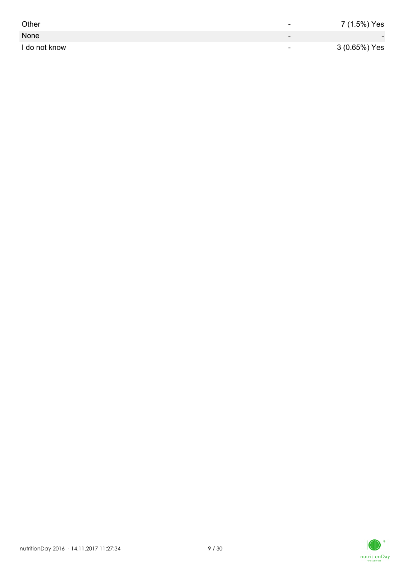| Other         | -                        | 7 (1.5%) Yes             |
|---------------|--------------------------|--------------------------|
| None          | $\overline{\phantom{0}}$ | $\overline{\phantom{0}}$ |
| I do not know | $\overline{\phantom{0}}$ | 3 (0.65%) Yes            |

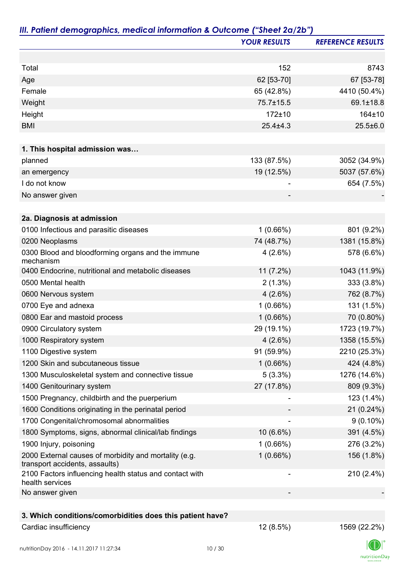|                                                                                         | <b>YOUR RESULTS</b> | <b>REFERENCE RESULTS</b> |
|-----------------------------------------------------------------------------------------|---------------------|--------------------------|
|                                                                                         |                     |                          |
| Total                                                                                   | 152                 | 8743                     |
| Age                                                                                     | 62 [53-70]          | 67 [53-78]               |
| Female                                                                                  | 65 (42.8%)          | 4410 (50.4%)             |
| Weight                                                                                  | 75.7±15.5           | 69.1±18.8                |
| Height                                                                                  | 172±10              | 164±10                   |
| <b>BMI</b>                                                                              | $25.4 \pm 4.3$      | $25.5 \pm 6.0$           |
| 1. This hospital admission was                                                          |                     |                          |
| planned                                                                                 | 133 (87.5%)         | 3052 (34.9%)             |
| an emergency                                                                            | 19 (12.5%)          | 5037 (57.6%)             |
| I do not know                                                                           |                     | 654 (7.5%)               |
| No answer given                                                                         |                     |                          |
|                                                                                         |                     |                          |
| 2a. Diagnosis at admission                                                              |                     |                          |
| 0100 Infectious and parasitic diseases                                                  | 1(0.66%)            | 801 (9.2%)               |
| 0200 Neoplasms                                                                          | 74 (48.7%)          | 1381 (15.8%)             |
| 0300 Blood and bloodforming organs and the immune<br>mechanism                          | 4(2.6%)             | 578 (6.6%)               |
| 0400 Endocrine, nutritional and metabolic diseases                                      | $11(7.2\%)$         | 1043 (11.9%)             |
| 0500 Mental health                                                                      | $2(1.3\%)$          | 333 (3.8%)               |
| 0600 Nervous system                                                                     | $4(2.6\%)$          | 762 (8.7%)               |
| 0700 Eye and adnexa                                                                     | 1(0.66%)            | 131 (1.5%)               |
| 0800 Ear and mastoid process                                                            | 1(0.66%)            | 70 (0.80%)               |
| 0900 Circulatory system                                                                 | 29 (19.1%)          | 1723 (19.7%)             |
| 1000 Respiratory system                                                                 | $4(2.6\%)$          | 1358 (15.5%)             |
| 1100 Digestive system                                                                   | 91 (59.9%)          | 2210 (25.3%)             |
| 1200 Skin and subcutaneous tissue                                                       | 1(0.66%)            | 424 (4.8%)               |
| 1300 Musculoskeletal system and connective tissue                                       | $5(3.3\%)$          | 1276 (14.6%)             |
| 1400 Genitourinary system                                                               | 27 (17.8%)          | 809 (9.3%)               |
| 1500 Pregnancy, childbirth and the puerperium                                           |                     | 123 (1.4%)               |
| 1600 Conditions originating in the perinatal period                                     |                     | 21 (0.24%)               |
| 1700 Congenital/chromosomal abnormalities                                               |                     | $9(0.10\%)$              |
| 1800 Symptoms, signs, abnormal clinical/lab findings                                    | 10 (6.6%)           | 391 (4.5%)               |
| 1900 Injury, poisoning                                                                  | 1(0.66%)            | 276 (3.2%)               |
| 2000 External causes of morbidity and mortality (e.g.<br>transport accidents, assaults) | 1(0.66%)            | 156 (1.8%)               |
| 2100 Factors influencing health status and contact with<br>health services              |                     | 210 (2.4%)               |
| No answer given                                                                         |                     |                          |
|                                                                                         |                     |                          |
| 3. Which conditions/comorbidities does this patient have?                               |                     |                          |
| Cardiac insufficiency                                                                   | 12 (8.5%)           | 1569 (22.2%)             |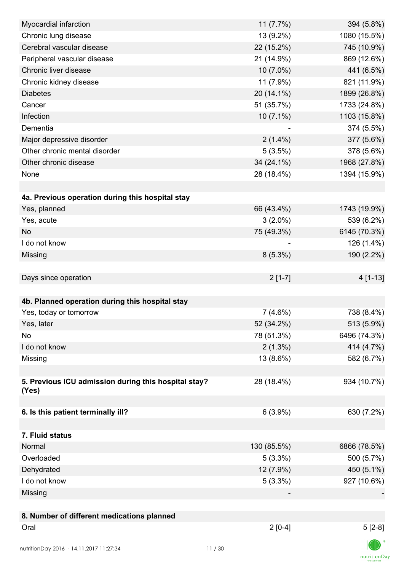| Myocardial infarction                                | 11(7.7%)    | 394 (5.8%)   |
|------------------------------------------------------|-------------|--------------|
| Chronic lung disease                                 | 13 (9.2%)   | 1080 (15.5%) |
| Cerebral vascular disease                            | 22 (15.2%)  | 745 (10.9%)  |
| Peripheral vascular disease                          | 21 (14.9%)  | 869 (12.6%)  |
| Chronic liver disease                                | 10 (7.0%)   | 441 (6.5%)   |
| Chronic kidney disease                               | 11 (7.9%)   | 821 (11.9%)  |
| <b>Diabetes</b>                                      | 20 (14.1%)  | 1899 (26.8%) |
| Cancer                                               | 51 (35.7%)  | 1733 (24.8%) |
| Infection                                            | $10(7.1\%)$ | 1103 (15.8%) |
| Dementia                                             |             | 374 (5.5%)   |
| Major depressive disorder                            | $2(1.4\%)$  | 377 (5.6%)   |
| Other chronic mental disorder                        | 5(3.5%)     | 378 (5.6%)   |
| Other chronic disease                                | 34 (24.1%)  | 1968 (27.8%) |
| None                                                 | 28 (18.4%)  | 1394 (15.9%) |
|                                                      |             |              |
| 4a. Previous operation during this hospital stay     |             |              |
| Yes, planned                                         | 66 (43.4%)  | 1743 (19.9%) |
| Yes, acute                                           | $3(2.0\%)$  | 539 (6.2%)   |
| <b>No</b>                                            | 75 (49.3%)  | 6145 (70.3%) |
| I do not know                                        |             | 126 (1.4%)   |
| Missing                                              | $8(5.3\%)$  | 190 (2.2%)   |
|                                                      |             |              |
| Days since operation                                 | $2[1-7]$    | 4 [1-13]     |
|                                                      |             |              |
| 4b. Planned operation during this hospital stay      |             |              |
| Yes, today or tomorrow                               | 7(4.6%)     | 738 (8.4%)   |
| Yes, later                                           | 52 (34.2%)  | 513 (5.9%)   |
| No                                                   | 78 (51.3%)  | 6496 (74.3%) |
| I do not know                                        | $2(1.3\%)$  | 414 (4.7%)   |
| Missing                                              | 13 (8.6%)   | 582 (6.7%)   |
|                                                      |             |              |
| 5. Previous ICU admission during this hospital stay? | 28 (18.4%)  | 934 (10.7%)  |
| (Yes)                                                |             |              |
|                                                      |             |              |
| 6. Is this patient terminally ill?                   | 6(3.9%)     | 630 (7.2%)   |
|                                                      |             |              |
| 7. Fluid status                                      |             |              |
| Normal                                               | 130 (85.5%) | 6866 (78.5%) |
| Overloaded                                           | $5(3.3\%)$  | 500 (5.7%)   |
| Dehydrated                                           | 12 (7.9%)   | 450 (5.1%)   |
| I do not know                                        | $5(3.3\%)$  | 927 (10.6%)  |
| Missing                                              |             |              |
|                                                      |             |              |
| 8. Number of different medications planned           |             |              |
| Oral                                                 | $2[0-4]$    | $5[2-8]$     |
|                                                      |             |              |
| nutritionDay 2016 - 14.11.2017 11:27:34              | 11/30       |              |

 $\textsf{nutritionDay}$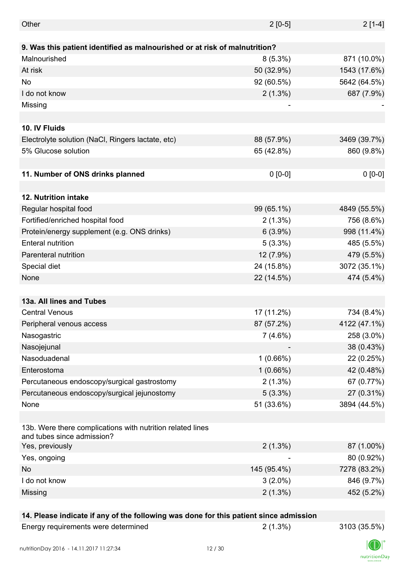| Other                                                                                    | $2[0-5]$    | $2[1-4]$     |
|------------------------------------------------------------------------------------------|-------------|--------------|
|                                                                                          |             |              |
| 9. Was this patient identified as malnourished or at risk of malnutrition?               |             |              |
| Malnourished                                                                             | $8(5.3\%)$  | 871 (10.0%)  |
| At risk                                                                                  | 50 (32.9%)  | 1543 (17.6%) |
| No                                                                                       | 92 (60.5%)  | 5642 (64.5%) |
| I do not know                                                                            | $2(1.3\%)$  | 687 (7.9%)   |
| Missing                                                                                  |             |              |
|                                                                                          |             |              |
| 10. IV Fluids                                                                            |             |              |
| Electrolyte solution (NaCl, Ringers lactate, etc)                                        | 88 (57.9%)  | 3469 (39.7%) |
| 5% Glucose solution                                                                      | 65 (42.8%)  | 860 (9.8%)   |
|                                                                                          |             |              |
| 11. Number of ONS drinks planned                                                         | $0 [0-0]$   | $0 [0-0]$    |
|                                                                                          |             |              |
| <b>12. Nutrition intake</b>                                                              |             |              |
| Regular hospital food                                                                    | 99 (65.1%)  | 4849 (55.5%) |
| Fortified/enriched hospital food                                                         | $2(1.3\%)$  | 756 (8.6%)   |
| Protein/energy supplement (e.g. ONS drinks)                                              | $6(3.9\%)$  | 998 (11.4%)  |
| <b>Enteral nutrition</b>                                                                 | $5(3.3\%)$  | 485 (5.5%)   |
| Parenteral nutrition                                                                     | 12 (7.9%)   | 479 (5.5%)   |
| Special diet                                                                             | 24 (15.8%)  | 3072 (35.1%) |
| None                                                                                     | 22 (14.5%)  | 474 (5.4%)   |
|                                                                                          |             |              |
| 13a. All lines and Tubes                                                                 |             |              |
| <b>Central Venous</b>                                                                    | 17 (11.2%)  | 734 (8.4%)   |
| Peripheral venous access                                                                 | 87 (57.2%)  | 4122 (47.1%) |
| Nasogastric                                                                              | 7(4.6%)     | 258 (3.0%)   |
| Nasojejunal                                                                              |             | 38 (0.43%)   |
| Nasoduadenal                                                                             | 1(0.66%)    | 22 (0.25%)   |
| Enterostoma                                                                              | 1(0.66%)    | 42 (0.48%)   |
| Percutaneous endoscopy/surgical gastrostomy                                              | $2(1.3\%)$  | 67 (0.77%)   |
| Percutaneous endoscopy/surgical jejunostomy                                              | $5(3.3\%)$  | 27 (0.31%)   |
| None                                                                                     | 51 (33.6%)  | 3894 (44.5%) |
|                                                                                          |             |              |
| 13b. Were there complications with nutrition related lines<br>and tubes since admission? |             |              |
| Yes, previously                                                                          | $2(1.3\%)$  | 87 (1.00%)   |
| Yes, ongoing                                                                             |             | 80 (0.92%)   |
| No                                                                                       | 145 (95.4%) | 7278 (83.2%) |
| I do not know                                                                            | $3(2.0\%)$  | 846 (9.7%)   |
| Missing                                                                                  | $2(1.3\%)$  | 452 (5.2%)   |
|                                                                                          |             |              |

## **14. Please indicate if any of the following was done for this patient since admission**

Energy requirements were determined 2 (1.3%) 3103 (35.5%)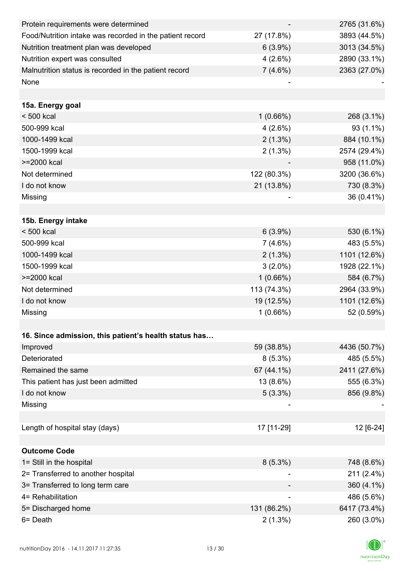| Protein requirements were determined                     |                          | 2765 (31.6%) |
|----------------------------------------------------------|--------------------------|--------------|
| Food/Nutrition intake was recorded in the patient record | 27 (17.8%)               | 3893 (44.5%) |
| Nutrition treatment plan was developed                   | $6(3.9\%)$               | 3013 (34.5%) |
| Nutrition expert was consulted                           | 4(2.6%)                  | 2890 (33.1%) |
| Malnutrition status is recorded in the patient record    | 7(4.6%)                  | 2363 (27.0%) |
| None                                                     |                          |              |
|                                                          |                          |              |
| 15a. Energy goal                                         |                          |              |
| $< 500$ kcal                                             | $1(0.66\%)$              | 268 (3.1%)   |
| 500-999 kcal                                             | 4(2.6%)                  | 93 (1.1%)    |
| 1000-1499 kcal                                           | $2(1.3\%)$               | 884 (10.1%)  |
| 1500-1999 kcal                                           | $2(1.3\%)$               | 2574 (29.4%) |
| >=2000 kcal                                              |                          | 958 (11.0%)  |
| Not determined                                           | 122 (80.3%)              | 3200 (36.6%) |
| I do not know                                            | 21 (13.8%)               | 730 (8.3%)   |
| Missing                                                  |                          | 36 (0.41%)   |
|                                                          |                          |              |
| 15b. Energy intake                                       |                          |              |
| $< 500$ kcal                                             | $6(3.9\%)$               | 530 (6.1%)   |
| 500-999 kcal                                             | $7(4.6\%)$               | 483 (5.5%)   |
| 1000-1499 kcal                                           | $2(1.3\%)$               | 1101 (12.6%) |
| 1500-1999 kcal                                           | $3(2.0\%)$               | 1928 (22.1%) |
| >=2000 kcal                                              | 1(0.66%)                 | 584 (6.7%)   |
| Not determined                                           | 113 (74.3%)              | 2964 (33.9%) |
| I do not know                                            | 19 (12.5%)               | 1101 (12.6%) |
| Missing                                                  | 1(0.66%)                 | 52 (0.59%)   |
|                                                          |                          |              |
| 16. Since admission, this patient's health status has    |                          |              |
| Improved                                                 | 59 (38.8%)               | 4436 (50.7%) |
| Deteriorated                                             | $8(5.3\%)$               | 485 (5.5%)   |
| Remained the same                                        | 67 (44.1%)               | 2411 (27.6%) |
| This patient has just been admitted                      | 13 (8.6%)                | 555 (6.3%)   |
| I do not know                                            | $5(3.3\%)$               | 856 (9.8%)   |
| Missing                                                  |                          |              |
|                                                          |                          |              |
| Length of hospital stay (days)                           | 17 [11-29]               | 12 [6-24]    |
|                                                          |                          |              |
| <b>Outcome Code</b>                                      |                          |              |
| 1= Still in the hospital                                 | $8(5.3\%)$               | 748 (8.6%)   |
| 2= Transferred to another hospital                       |                          | 211 (2.4%)   |
| 3= Transferred to long term care                         |                          | 360 (4.1%)   |
| 4= Rehabilitation                                        | $\overline{\phantom{a}}$ | 486 (5.6%)   |
| 5= Discharged home                                       | 131 (86.2%)              | 6417 (73.4%) |
| 6= Death                                                 | $2(1.3\%)$               | 260 (3.0%)   |

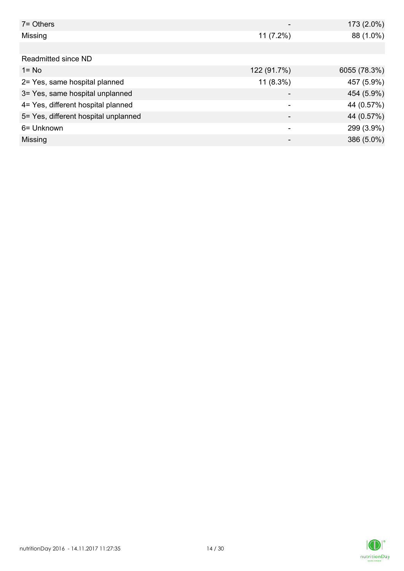| $7 =$ Others                         |             | 173 (2.0%)   |
|--------------------------------------|-------------|--------------|
| Missing                              | $11(7.2\%)$ | 88 (1.0%)    |
|                                      |             |              |
| Readmitted since ND                  |             |              |
| $1 = No$                             | 122 (91.7%) | 6055 (78.3%) |
| 2= Yes, same hospital planned        | $11(8.3\%)$ | 457 (5.9%)   |
| 3= Yes, same hospital unplanned      |             | 454 (5.9%)   |
| 4= Yes, different hospital planned   |             | 44 (0.57%)   |
| 5= Yes, different hospital unplanned |             | 44 (0.57%)   |
| 6= Unknown                           |             | 299 (3.9%)   |
| Missing                              | -           | 386 (5.0%)   |

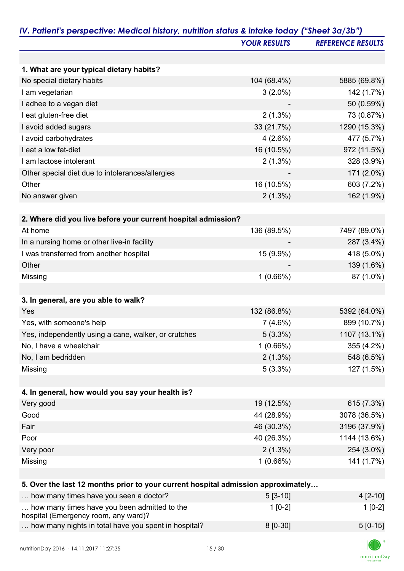|                                                                                   | <b>YOUR RESULTS</b> | <b>REFERENCE RESULTS</b> |
|-----------------------------------------------------------------------------------|---------------------|--------------------------|
|                                                                                   |                     |                          |
| 1. What are your typical dietary habits?                                          |                     |                          |
| No special dietary habits                                                         | 104 (68.4%)         | 5885 (69.8%)             |
| I am vegetarian                                                                   | $3(2.0\%)$          | 142 (1.7%)               |
| I adhee to a vegan diet                                                           |                     | 50 (0.59%)               |
| I eat gluten-free diet                                                            | $2(1.3\%)$          | 73 (0.87%)               |
| I avoid added sugars                                                              | 33 (21.7%)          | 1290 (15.3%)             |
| I avoid carbohydrates                                                             | 4(2.6%)             | 477 (5.7%)               |
| I eat a low fat-diet                                                              | 16 (10.5%)          | 972 (11.5%)              |
| I am lactose intolerant                                                           | $2(1.3\%)$          | 328 (3.9%)               |
| Other special diet due to intolerances/allergies                                  |                     | 171 (2.0%)               |
| Other                                                                             | 16 (10.5%)          | 603 (7.2%)               |
| No answer given                                                                   | $2(1.3\%)$          | 162 (1.9%)               |
|                                                                                   |                     |                          |
| 2. Where did you live before your current hospital admission?                     |                     |                          |
| At home                                                                           | 136 (89.5%)         | 7497 (89.0%)             |
| In a nursing home or other live-in facility                                       |                     | 287 (3.4%)               |
| I was transferred from another hospital                                           | 15 (9.9%)           | 418 (5.0%)               |
| Other                                                                             |                     | 139 (1.6%)               |
| Missing                                                                           | 1(0.66%)            | 87 (1.0%)                |
|                                                                                   |                     |                          |
| 3. In general, are you able to walk?                                              |                     |                          |
| Yes                                                                               | 132 (86.8%)         | 5392 (64.0%)             |
| Yes, with someone's help                                                          | 7(4.6%)             | 899 (10.7%)              |
| Yes, independently using a cane, walker, or crutches                              | $5(3.3\%)$          | 1107 (13.1%)             |
| No, I have a wheelchair                                                           | 1(0.66%)            | 355 (4.2%)               |
| No, I am bedridden                                                                | $2(1.3\%)$          | 548 (6.5%)               |
| Missing                                                                           | $5(3.3\%)$          | 127 (1.5%)               |
|                                                                                   |                     |                          |
| 4. In general, how would you say your health is?                                  |                     |                          |
| Very good                                                                         | 19 (12.5%)          | 615 (7.3%)               |
| Good                                                                              | 44 (28.9%)          | 3078 (36.5%)             |
| Fair                                                                              | 46 (30.3%)          | 3196 (37.9%)             |
| Poor                                                                              | 40 (26.3%)          | 1144 (13.6%)             |
| Very poor                                                                         | $2(1.3\%)$          | 254 (3.0%)               |
| Missing                                                                           | 1(0.66%)            | 141 (1.7%)               |
|                                                                                   |                     |                          |
| 5. Over the last 12 months prior to your current hospital admission approximately |                     |                          |
| how many times have you seen a doctor?                                            | $5[3-10]$           | $4[2-10]$                |
| how many times have you been admitted to the                                      | $1[0-2]$            | $1[0-2]$                 |
| hospital (Emergency room, any ward)?                                              |                     |                          |
| how many nights in total have you spent in hospital?                              | 8 [0-30]            | $5[0-15]$                |

K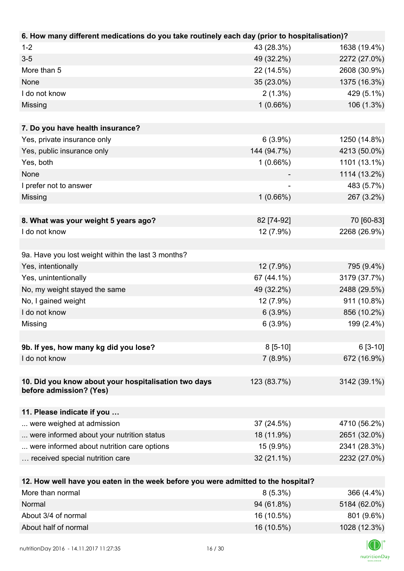| 6. How many different medications do you take routinely each day (prior to hospitalisation)? |                          |              |
|----------------------------------------------------------------------------------------------|--------------------------|--------------|
| $1 - 2$                                                                                      | 43 (28.3%)               | 1638 (19.4%) |
| $3 - 5$                                                                                      | 49 (32.2%)               | 2272 (27.0%) |
| More than 5                                                                                  | 22 (14.5%)               | 2608 (30.9%) |
| None                                                                                         | 35 (23.0%)               | 1375 (16.3%) |
| I do not know                                                                                | $2(1.3\%)$               | 429 (5.1%)   |
| Missing                                                                                      | 1(0.66%)                 | 106 (1.3%)   |
|                                                                                              |                          |              |
| 7. Do you have health insurance?                                                             |                          |              |
| Yes, private insurance only                                                                  | $6(3.9\%)$               | 1250 (14.8%) |
| Yes, public insurance only                                                                   | 144 (94.7%)              | 4213 (50.0%) |
| Yes, both                                                                                    | 1(0.66%)                 | 1101 (13.1%) |
| None                                                                                         |                          | 1114 (13.2%) |
| I prefer not to answer                                                                       | $\overline{\phantom{a}}$ | 483 (5.7%)   |
| Missing                                                                                      | $1(0.66\%)$              | 267 (3.2%)   |
| 8. What was your weight 5 years ago?                                                         | 82 [74-92]               | 70 [60-83]   |
| I do not know                                                                                | 12 (7.9%)                | 2268 (26.9%) |
|                                                                                              |                          |              |
| 9a. Have you lost weight within the last 3 months?                                           |                          |              |
| Yes, intentionally                                                                           | 12 (7.9%)                | 795 (9.4%)   |
| Yes, unintentionally                                                                         | 67 (44.1%)               | 3179 (37.7%) |
| No, my weight stayed the same                                                                | 49 (32.2%)               | 2488 (29.5%) |
| No, I gained weight                                                                          | 12 (7.9%)                | 911 (10.8%)  |
| I do not know                                                                                | $6(3.9\%)$               | 856 (10.2%)  |
| Missing                                                                                      | $6(3.9\%)$               | 199 (2.4%)   |
|                                                                                              |                          |              |
| 9b. If yes, how many kg did you lose?                                                        | $8[5-10]$                | $6[3-10]$    |
| I do not know                                                                                | $7(8.9\%)$               | 672 (16.9%)  |
|                                                                                              |                          |              |
| 10. Did you know about your hospitalisation two days<br>before admission? (Yes)              | 123 (83.7%)              | 3142 (39.1%) |
| 11. Please indicate if you                                                                   |                          |              |
| were weighed at admission                                                                    | 37 (24.5%)               | 4710 (56.2%) |
| were informed about your nutrition status                                                    | 18 (11.9%)               | 2651 (32.0%) |
| were informed about nutrition care options                                                   | 15 (9.9%)                | 2341 (28.3%) |
| received special nutrition care                                                              | 32 (21.1%)               | 2232 (27.0%) |
|                                                                                              |                          |              |
| 12. How well have you eaten in the week before you were admitted to the hospital?            |                          |              |
| More than normal                                                                             | $8(5.3\%)$               | 366 (4.4%)   |
| Normal                                                                                       | 94 (61.8%)               | 5184 (62.0%) |
| About 3/4 of normal                                                                          | 16 (10.5%)               | 801 (9.6%)   |

About half of normal 16 (10.5%) 1028 (12.3%)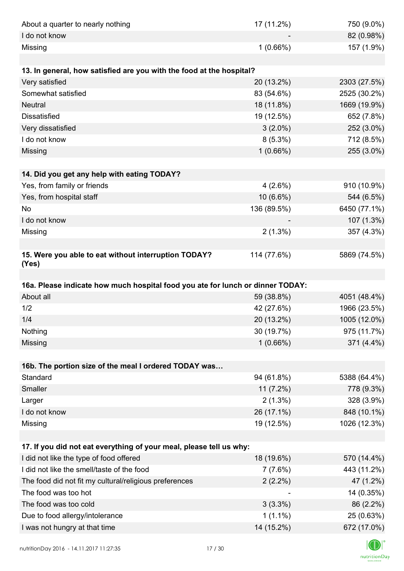| About a quarter to nearly nothing                                              | 17 (11.2%)               | 750 (9.0%)                 |
|--------------------------------------------------------------------------------|--------------------------|----------------------------|
| I do not know                                                                  |                          | 82 (0.98%)                 |
| Missing                                                                        | 1(0.66%)                 | 157 (1.9%)                 |
|                                                                                |                          |                            |
| 13. In general, how satisfied are you with the food at the hospital?           |                          |                            |
| Very satisfied                                                                 | 20 (13.2%)               | 2303 (27.5%)               |
| Somewhat satisfied                                                             | 83 (54.6%)               | 2525 (30.2%)               |
| <b>Neutral</b>                                                                 | 18 (11.8%)               | 1669 (19.9%)               |
| <b>Dissatisfied</b>                                                            | 19 (12.5%)               | 652 (7.8%)                 |
| Very dissatisfied                                                              | $3(2.0\%)$               | 252 (3.0%)                 |
| I do not know                                                                  | $8(5.3\%)$               | 712 (8.5%)                 |
| Missing                                                                        | 1(0.66%)                 | 255 (3.0%)                 |
|                                                                                |                          |                            |
| 14. Did you get any help with eating TODAY?                                    |                          |                            |
| Yes, from family or friends                                                    | 4(2.6%)                  | 910 (10.9%)                |
| Yes, from hospital staff                                                       | 10 (6.6%)                | 544 (6.5%)                 |
| No                                                                             | 136 (89.5%)              | 6450 (77.1%)               |
| I do not know                                                                  |                          | 107 (1.3%)                 |
| Missing                                                                        | $2(1.3\%)$               | 357 (4.3%)                 |
|                                                                                |                          |                            |
| 15. Were you able to eat without interruption TODAY?<br>(Yes)                  | 114 (77.6%)              | 5869 (74.5%)               |
|                                                                                |                          |                            |
| 16a. Please indicate how much hospital food you ate for lunch or dinner TODAY: |                          |                            |
| About all                                                                      | 59 (38.8%)               | 4051 (48.4%)               |
| 1/2                                                                            | 42 (27.6%)               | 1966 (23.5%)               |
| 1/4                                                                            | 20 (13.2%)               | 1005 (12.0%)               |
| Nothing                                                                        | 30 (19.7%)               | 975 (11.7%)                |
| Missing                                                                        | 1(0.66%)                 | 371 (4.4%)                 |
|                                                                                |                          |                            |
| 16b. The portion size of the meal I ordered TODAY was                          |                          |                            |
| Standard                                                                       | 94 (61.8%)               | 5388 (64.4%)               |
|                                                                                |                          |                            |
| Smaller                                                                        | $11(7.2\%)$              | 778 (9.3%)                 |
| Larger                                                                         | $2(1.3\%)$               | 328 (3.9%)                 |
| I do not know                                                                  | 26 (17.1%)               | 848 (10.1%)                |
| Missing                                                                        | 19 (12.5%)               | 1026 (12.3%)               |
|                                                                                |                          |                            |
| 17. If you did not eat everything of your meal, please tell us why:            |                          |                            |
| I did not like the type of food offered                                        | 18 (19.6%)               |                            |
| I did not like the smell/taste of the food                                     | 7(7.6%)                  | 570 (14.4%)<br>443 (11.2%) |
| The food did not fit my cultural/religious preferences                         | $2(2.2\%)$               | 47 (1.2%)                  |
| The food was too hot                                                           |                          | 14 (0.35%)                 |
| The food was too cold                                                          | $3(3.3\%)$               | 86 (2.2%)                  |
| Due to food allergy/intolerance<br>I was not hungry at that time               | $1(1.1\%)$<br>14 (15.2%) | 25 (0.63%)<br>672 (17.0%)  |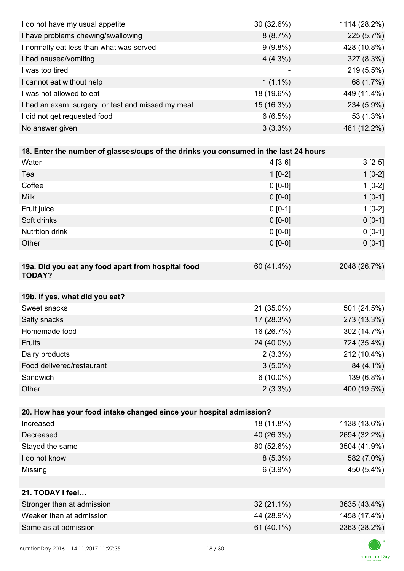| I do not have my usual appetite                                                      | 30 (32.6%)  | 1114 (28.2%) |
|--------------------------------------------------------------------------------------|-------------|--------------|
| I have problems chewing/swallowing                                                   | 8(8.7%)     | 225 (5.7%)   |
| I normally eat less than what was served                                             | $9(9.8\%)$  | 428 (10.8%)  |
| I had nausea/vomiting                                                                | $4(4.3\%)$  | 327 (8.3%)   |
| I was too tired                                                                      |             | 219 (5.5%)   |
| I cannot eat without help                                                            | $1(1.1\%)$  | 68 (1.7%)    |
| I was not allowed to eat                                                             | 18 (19.6%)  | 449 (11.4%)  |
| I had an exam, surgery, or test and missed my meal                                   | 15 (16.3%)  | 234 (5.9%)   |
| I did not get requested food                                                         | 6(6.5%)     | 53 (1.3%)    |
| No answer given                                                                      | $3(3.3\%)$  | 481 (12.2%)  |
|                                                                                      |             |              |
| 18. Enter the number of glasses/cups of the drinks you consumed in the last 24 hours |             |              |
| Water                                                                                | $4[3-6]$    | $3[2-5]$     |
| Tea                                                                                  | $1[0-2]$    | $1[0-2]$     |
| Coffee                                                                               | $0 [0-0]$   | $1[0-2]$     |
| <b>Milk</b>                                                                          | $0 [0-0]$   | $1[0-1]$     |
| Fruit juice                                                                          | $0 [0-1]$   | $1[0-2]$     |
| Soft drinks                                                                          | $0 [0-0]$   | $0[0-1]$     |
| <b>Nutrition drink</b>                                                               | $0 [0-0]$   | $0 [0-1]$    |
| Other                                                                                | $0 [0-0]$   | $0 [0-1]$    |
|                                                                                      |             |              |
| 19a. Did you eat any food apart from hospital food<br><b>TODAY?</b>                  | 60 (41.4%)  | 2048 (26.7%) |
| 19b. If yes, what did you eat?                                                       |             |              |
| Sweet snacks                                                                         | 21 (35.0%)  | 501 (24.5%)  |
| Salty snacks                                                                         | 17 (28.3%)  | 273 (13.3%)  |
| Homemade food                                                                        | 16 (26.7%)  | 302 (14.7%)  |
| Fruits                                                                               | 24 (40.0%)  | 724 (35.4%)  |
| Dairy products                                                                       | $2(3.3\%)$  | 212 (10.4%)  |
| Food delivered/restaurant                                                            | $3(5.0\%)$  | 84 (4.1%)    |
| Sandwich                                                                             | $6(10.0\%)$ | 139 (6.8%)   |
| Other                                                                                | $2(3.3\%)$  | 400 (19.5%)  |
|                                                                                      |             |              |
| 20. How has your food intake changed since your hospital admission?                  |             |              |
| Increased                                                                            | 18 (11.8%)  | 1138 (13.6%) |
| Decreased                                                                            | 40 (26.3%)  | 2694 (32.2%) |
| Stayed the same                                                                      | 80 (52.6%)  | 3504 (41.9%) |
| I do not know                                                                        | $8(5.3\%)$  | 582 (7.0%)   |
| Missing                                                                              | $6(3.9\%)$  | 450 (5.4%)   |
|                                                                                      |             |              |
| 21. TODAY I feel                                                                     |             |              |
| Stronger than at admission                                                           | 32 (21.1%)  | 3635 (43.4%) |
| Weaker than at admission                                                             | 44 (28.9%)  | 1458 (17.4%) |
| Same as at admission                                                                 | 61 (40.1%)  | 2363 (28.2%) |
|                                                                                      |             |              |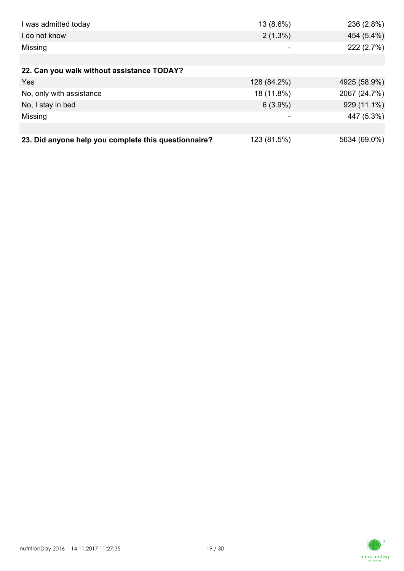| I was admitted today                                 | 13 (8.6%)   | 236 (2.8%)   |
|------------------------------------------------------|-------------|--------------|
| I do not know                                        | $2(1.3\%)$  | 454 (5.4%)   |
| Missing                                              | -           | 222 (2.7%)   |
|                                                      |             |              |
| 22. Can you walk without assistance TODAY?           |             |              |
| Yes                                                  | 128 (84.2%) | 4925 (58.9%) |
| No, only with assistance                             | 18 (11.8%)  | 2067 (24.7%) |
| No, I stay in bed                                    | $6(3.9\%)$  | 929 (11.1%)  |
| Missing                                              | -           | 447 (5.3%)   |
|                                                      |             |              |
| 23. Did anyone help you complete this questionnaire? | 123 (81.5%) | 5634 (69.0%) |

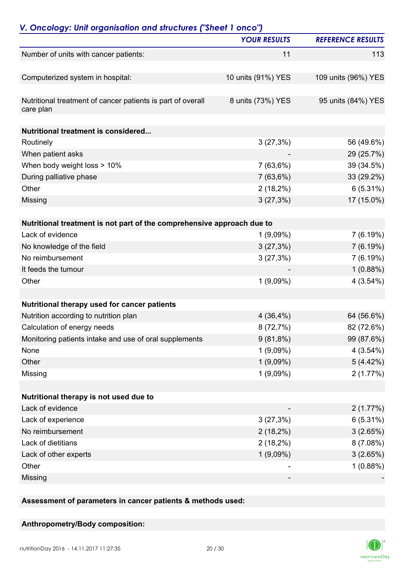|                                                                          | <b>YOUR RESULTS</b> | <b>REFERENCE RESULTS</b> |
|--------------------------------------------------------------------------|---------------------|--------------------------|
| Number of units with cancer patients:                                    | 11                  | 113                      |
| Computerized system in hospital:                                         | 10 units (91%) YES  | 109 units (96%) YES      |
| Nutritional treatment of cancer patients is part of overall<br>care plan | 8 units (73%) YES   | 95 units (84%) YES       |
| <b>Nutritional treatment is considered</b>                               |                     |                          |
| Routinely                                                                | 3(27,3%)            | 56 (49.6%)               |
| When patient asks                                                        |                     | 29 (25.7%)               |
| When body weight loss > 10%                                              | 7(63,6%)            | 39 (34.5%)               |
| During palliative phase                                                  | 7(63,6%)            | 33 (29.2%)               |
| Other                                                                    | $2(18,2\%)$         | $6(5.31\%)$              |
| Missing                                                                  | 3(27,3%)            | 17 (15.0%)               |
| Nutritional treatment is not part of the comprehensive approach due to   |                     |                          |
| Lack of evidence                                                         | $1(9,09\%)$         | 7(6.19%)                 |
| No knowledge of the field                                                | 3(27,3%)            | 7(6.19%)                 |
| No reimbursement                                                         | 3(27,3%)            | 7(6.19%)                 |
| It feeds the tumour                                                      |                     | 1(0.88%)                 |
| Other                                                                    | $1(9,09\%)$         | 4(3.54%)                 |
|                                                                          |                     |                          |
| Nutritional therapy used for cancer patients                             |                     |                          |
| Nutrition according to nutrition plan                                    | 4(36,4%)            | 64 (56.6%)               |
| Calculation of energy needs                                              | 8(72,7%)            | 82 (72.6%)               |
| Monitoring patients intake and use of oral supplements                   | $9(81,8\%)$         | 99 (87.6%)               |
| None                                                                     | 1(9,09%)            | 4(3.54%)                 |
| Other                                                                    | $1(9,09\%)$         | 5(4.42%)                 |
| Missing                                                                  | $1(9,09\%)$         | 2(1.77%)                 |
| Nutritional therapy is not used due to                                   |                     |                          |
| Lack of evidence                                                         |                     | 2(1.77%)                 |
| Lack of experience                                                       | 3(27,3%)            | 6(5.31%)                 |
| No reimbursement                                                         | $2(18,2\%)$         | 3(2.65%)                 |
| Lack of dietitians                                                       | $2(18,2\%)$         | 8(7.08%)                 |
| Lack of other experts                                                    | $1(9,09\%)$         | 3(2.65%)                 |
| Other                                                                    |                     | 1(0.88%)                 |
| Missing                                                                  |                     |                          |

**Assessment of parameters in cancer patients & methods used:**

### **Anthropometry/Body composition:**

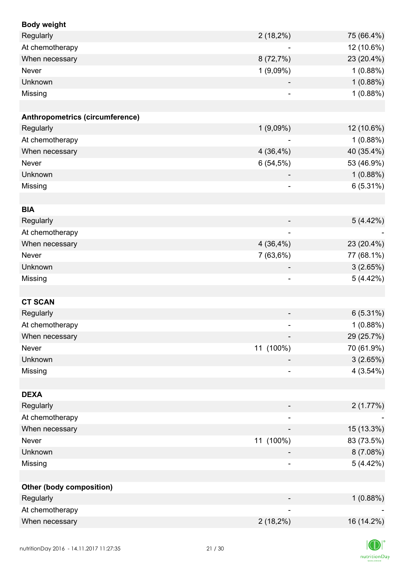| <b>Body weight</b>              |                              |             |
|---------------------------------|------------------------------|-------------|
| Regularly                       | $2(18,2\%)$                  | 75 (66.4%)  |
| At chemotherapy                 | $\overline{\phantom{a}}$     | 12 (10.6%)  |
| When necessary                  | 8(72,7%)                     | 23 (20.4%)  |
| Never                           | $1(9,09\%)$                  | 1(0.88%)    |
| Unknown                         |                              | 1(0.88%)    |
| Missing                         |                              | 1(0.88%)    |
|                                 |                              |             |
| Anthropometrics (circumference) |                              |             |
| Regularly                       | $1(9,09\%)$                  | 12 (10.6%)  |
| At chemotherapy                 |                              | 1(0.88%)    |
| When necessary                  | 4(36,4%)                     | 40 (35.4%)  |
| Never                           | 6(54,5%)                     | 53 (46.9%)  |
| Unknown                         |                              | 1(0.88%)    |
| Missing                         | $\overline{\phantom{a}}$     | 6(5.31%)    |
|                                 |                              |             |
| <b>BIA</b>                      |                              |             |
| Regularly                       |                              | 5(4.42%)    |
| At chemotherapy                 | $\qquad \qquad \blacksquare$ |             |
| When necessary                  | 4(36,4%)                     | 23 (20.4%)  |
| Never                           | 7(63,6%)                     | 77 (68.1%)  |
| Unknown                         | $\overline{\phantom{a}}$     | 3(2.65%)    |
| Missing                         | $\qquad \qquad \blacksquare$ | 5(4.42%)    |
|                                 |                              |             |
| <b>CT SCAN</b>                  |                              |             |
| Regularly                       |                              | 6(5.31%)    |
| At chemotherapy                 |                              | 1(0.88%)    |
| When necessary                  |                              | 29 (25.7%)  |
| Never                           | 11 (100%)                    | 70 (61.9%)  |
| Unknown                         |                              | 3(2.65%)    |
| Missing                         |                              | $4(3.54\%)$ |
|                                 |                              |             |
| <b>DEXA</b>                     |                              |             |
| Regularly                       |                              | 2(1.77%)    |
| At chemotherapy                 | $\overline{\phantom{a}}$     |             |
| When necessary                  |                              | 15 (13.3%)  |
| Never                           | 11 (100%)                    | 83 (73.5%)  |
| Unknown                         |                              | 8 (7.08%)   |
| Missing                         |                              | 5(4.42%)    |
|                                 |                              |             |
| <b>Other (body composition)</b> |                              |             |
| Regularly                       |                              | 1(0.88%)    |
| At chemotherapy                 |                              |             |
| When necessary                  | $2(18,2\%)$                  | 16 (14.2%)  |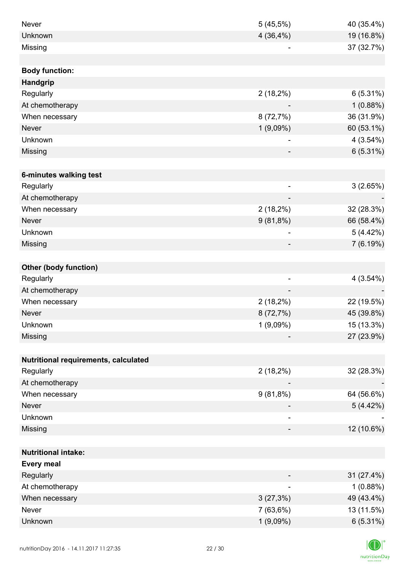| Never                                | 5(45,5%)                 | 40 (35.4%) |
|--------------------------------------|--------------------------|------------|
| Unknown                              | 4(36,4%)                 | 19 (16.8%) |
| Missing                              |                          | 37 (32.7%) |
|                                      |                          |            |
| <b>Body function:</b>                |                          |            |
| <b>Handgrip</b>                      |                          |            |
| Regularly                            | $2(18,2\%)$              | 6(5.31%)   |
| At chemotherapy                      |                          | 1(0.88%)   |
| When necessary                       | 8(72,7%)                 | 36 (31.9%) |
| Never                                | 1(9,09%)                 | 60 (53.1%) |
| Unknown                              |                          | 4(3.54%)   |
| Missing                              |                          | 6(5.31%)   |
|                                      |                          |            |
| 6-minutes walking test               |                          |            |
| Regularly                            | $\overline{\phantom{a}}$ | 3(2.65%)   |
| At chemotherapy                      | $\overline{\phantom{a}}$ |            |
| When necessary                       | $2(18,2\%)$              | 32 (28.3%) |
| Never                                | $9(81,8\%)$              | 66 (58.4%) |
| Unknown                              |                          | 5(4.42%)   |
| Missing                              |                          | 7 (6.19%)  |
|                                      |                          |            |
| <b>Other (body function)</b>         |                          |            |
| Regularly                            | $\overline{\phantom{a}}$ | 4(3.54%)   |
| At chemotherapy                      |                          |            |
| When necessary                       | $2(18,2\%)$              | 22 (19.5%) |
| Never                                | 8(72,7%)                 | 45 (39.8%) |
| Unknown                              | 1(9,09%)                 | 15 (13.3%) |
| Missing                              |                          | 27 (23.9%) |
|                                      |                          |            |
| Nutritional requirements, calculated |                          |            |
| Regularly                            | $2(18,2\%)$              | 32 (28.3%) |
| At chemotherapy                      |                          |            |
| When necessary                       | $9(81,8\%)$              | 64 (56.6%) |
| <b>Never</b>                         |                          | 5(4.42%)   |
| Unknown                              |                          |            |
| Missing                              | -                        | 12 (10.6%) |
|                                      |                          |            |
| <b>Nutritional intake:</b>           |                          |            |
| <b>Every meal</b>                    |                          |            |
| Regularly                            |                          | 31 (27.4%) |
| At chemotherapy                      | $\overline{\phantom{a}}$ | 1(0.88%)   |
| When necessary                       | 3(27,3%)                 | 49 (43.4%) |
| Never                                | 7(63,6%)                 | 13 (11.5%) |
| Unknown                              | $1(9,09\%)$              | 6(5.31%)   |

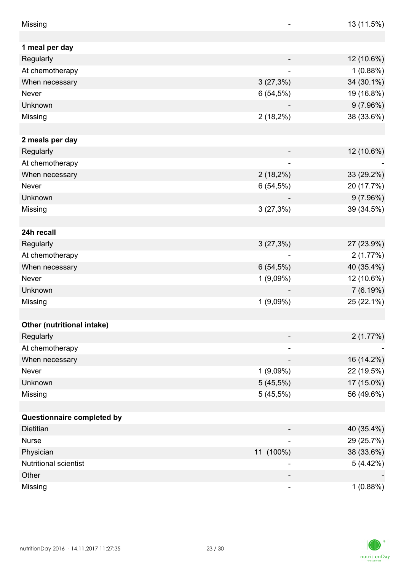| Missing                    |                          | 13 (11.5%) |
|----------------------------|--------------------------|------------|
|                            |                          |            |
| 1 meal per day             |                          |            |
| Regularly                  |                          | 12 (10.6%) |
| At chemotherapy            |                          | 1(0.88%)   |
| When necessary             | 3(27,3%)                 | 34 (30.1%) |
| Never                      | 6(54,5%)                 | 19 (16.8%) |
| Unknown                    |                          | 9(7.96%)   |
| Missing                    | $2(18,2\%)$              | 38 (33.6%) |
|                            |                          |            |
| 2 meals per day            |                          |            |
| Regularly                  |                          | 12 (10.6%) |
| At chemotherapy            |                          |            |
| When necessary             | $2(18,2\%)$              | 33 (29.2%) |
| Never                      | 6(54,5%)                 | 20 (17.7%) |
| Unknown                    |                          | 9(7.96%)   |
| Missing                    | 3(27,3%)                 | 39 (34.5%) |
|                            |                          |            |
| 24h recall                 |                          |            |
| Regularly                  | 3(27,3%)                 | 27 (23.9%) |
| At chemotherapy            |                          | 2(1.77%)   |
| When necessary             | 6(54,5%)                 | 40 (35.4%) |
| Never                      | 1(9,09%)                 | 12 (10.6%) |
| Unknown                    |                          | 7(6.19%)   |
| Missing                    | 1(9,09%)                 | 25 (22.1%) |
|                            |                          |            |
| Other (nutritional intake) |                          |            |
| Regularly                  |                          | 2(1.77%)   |
| At chemotherapy            | $\overline{\phantom{a}}$ |            |
| When necessary             |                          | 16 (14.2%) |
| Never                      | $1(9,09\%)$              | 22 (19.5%) |
| Unknown                    | 5(45,5%)                 | 17 (15.0%) |
| Missing                    | 5(45,5%)                 | 56 (49.6%) |
|                            |                          |            |
| Questionnaire completed by |                          |            |
| Dietitian                  |                          | 40 (35.4%) |
| <b>Nurse</b>               |                          | 29 (25.7%) |
| Physician                  | 11 (100%)                | 38 (33.6%) |
| Nutritional scientist      |                          | 5(4.42%)   |
| Other                      |                          |            |
| Missing                    | $\overline{\phantom{a}}$ | 1(0.88%)   |

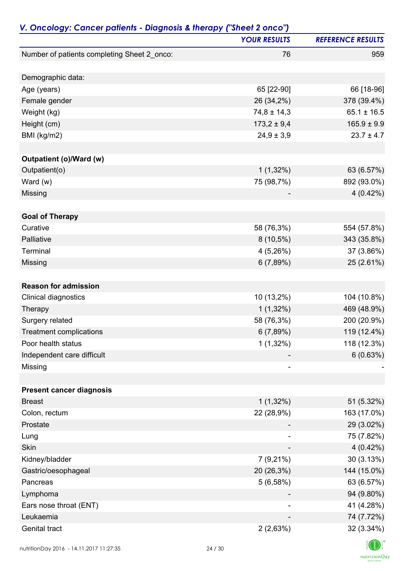| V. Oncology: Cancer patients - Diagnosis & therapy ("Sheet 2 onco") |                     |                          |
|---------------------------------------------------------------------|---------------------|--------------------------|
|                                                                     | <b>YOUR RESULTS</b> | <b>REFERENCE RESULTS</b> |
| Number of patients completing Sheet 2_onco:                         | 76                  | 959                      |
| Demographic data:                                                   |                     |                          |
| Age (years)                                                         | 65 [22-90]          | 66 [18-96]               |
| Female gender                                                       | 26 (34,2%)          | 378 (39.4%)              |
| Weight (kg)                                                         | $74,8 \pm 14,3$     | $65.1 \pm 16.5$          |
| Height (cm)                                                         | $173,2 \pm 9,4$     | $165.9 \pm 9.9$          |
| BMI (kg/m2)                                                         | $24,9 \pm 3,9$      | $23.7 \pm 4.7$           |
|                                                                     |                     |                          |
| Outpatient (o)/Ward (w)                                             |                     |                          |
| Outpatient(o)                                                       | $1(1,32\%)$         | 63 (6.57%)               |
| Ward $(w)$                                                          | 75 (98,7%)          | 892 (93.0%)              |
| Missing                                                             |                     | 4(0.42%)                 |
|                                                                     |                     |                          |
| <b>Goal of Therapy</b>                                              |                     |                          |
| Curative                                                            | 58 (76,3%)          | 554 (57.8%)              |
| Palliative                                                          | $8(10,5\%)$         | 343 (35.8%)              |
| Terminal                                                            | 4(5,26%)            | 37 (3.86%)               |
| Missing                                                             | 6(7,89%)            | 25 (2.61%)               |
| <b>Reason for admission</b>                                         |                     |                          |
| Clinical diagnostics                                                | 10 (13,2%)          | 104 (10.8%)              |
| Therapy                                                             | $1(1,32\%)$         | 469 (48.9%)              |
| Surgery related                                                     | 58 (76,3%)          | 200 (20.9%)              |
| <b>Treatment complications</b>                                      | 6(7,89%)            | 119 (12.4%)              |
| Poor health status                                                  | $1(1,32\%)$         | 118 (12.3%)              |
| Independent care difficult                                          |                     | 6(0.63%)                 |
| Missing                                                             |                     |                          |
|                                                                     |                     |                          |
| <b>Present cancer diagnosis</b>                                     |                     |                          |
| <b>Breast</b>                                                       | $1(1,32\%)$         | 51 (5.32%)               |
| Colon, rectum                                                       | 22 (28,9%)          | 163 (17.0%)              |
| Prostate                                                            |                     | 29 (3.02%)               |
| Lung                                                                | ۰                   | 75 (7.82%)               |
| <b>Skin</b>                                                         |                     | 4(0.42%)                 |
| Kidney/bladder                                                      | $7(9,21\%)$         | 30 (3.13%)               |
| Gastric/oesophageal                                                 | 20 (26,3%)          | 144 (15.0%)              |
| Pancreas                                                            | 5(6,58%)            | 63 (6.57%)               |
| Lymphoma                                                            |                     | 94 (9.80%)               |
| Ears nose throat (ENT)                                              |                     | 41 (4.28%)               |
| Leukaemia                                                           |                     | 74 (7.72%)               |
| Genital tract                                                       | 2(2,63%)            | 32 (3.34%)               |
|                                                                     |                     |                          |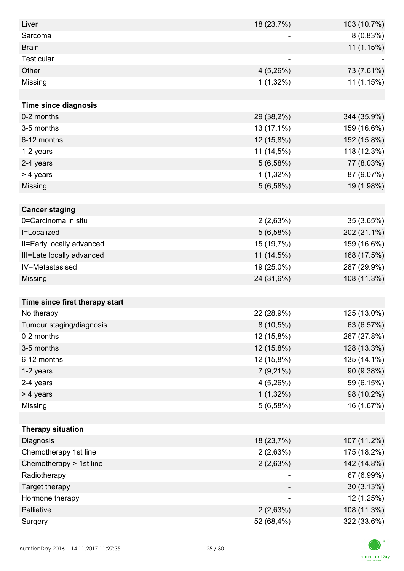| Liver                          | 18 (23,7%)               | 103 (10.7%) |
|--------------------------------|--------------------------|-------------|
| Sarcoma                        | -                        | 8(0.83%)    |
| <b>Brain</b>                   |                          | 11 (1.15%)  |
| Testicular                     | $\overline{\phantom{a}}$ |             |
| Other                          | 4(5,26%)                 | 73 (7.61%)  |
| Missing                        | $1(1,32\%)$              | 11 (1.15%)  |
|                                |                          |             |
| <b>Time since diagnosis</b>    |                          |             |
| 0-2 months                     | 29 (38,2%)               | 344 (35.9%) |
| 3-5 months                     | 13 (17,1%)               | 159 (16.6%) |
| 6-12 months                    | 12 (15,8%)               | 152 (15.8%) |
| 1-2 years                      | 11 (14,5%)               | 118 (12.3%) |
| 2-4 years                      | 5(6,58%)                 | 77 (8.03%)  |
| > 4 years                      | $1(1,32\%)$              | 87 (9.07%)  |
| Missing                        | 5(6,58%)                 | 19 (1.98%)  |
|                                |                          |             |
| <b>Cancer staging</b>          |                          |             |
| 0=Carcinoma in situ            | 2(2,63%)                 | 35 (3.65%)  |
| I=Localized                    | 5(6,58%)                 | 202 (21.1%) |
| II=Early locally advanced      | 15 (19,7%)               | 159 (16.6%) |
| III=Late locally advanced      | 11 (14,5%)               | 168 (17.5%) |
| IV=Metastasised                | 19 (25,0%)               | 287 (29.9%) |
| Missing                        | 24 (31,6%)               | 108 (11.3%) |
|                                |                          |             |
| Time since first therapy start |                          |             |
| No therapy                     | 22 (28,9%)               | 125 (13.0%) |
| Tumour staging/diagnosis       | $8(10,5\%)$              | 63 (6.57%)  |
| 0-2 months                     | 12 (15,8%)               | 267 (27.8%) |
| 3-5 months                     | 12 (15,8%)               | 128 (13.3%) |
| 6-12 months                    | 12 (15,8%)               | 135 (14.1%) |
| 1-2 years                      | $7(9,21\%)$              | 90 (9.38%)  |
| 2-4 years                      | 4(5,26%)                 | 59 (6.15%)  |
| > 4 years                      | $1(1,32\%)$              | 98 (10.2%)  |
| Missing                        | 5(6,58%)                 | 16 (1.67%)  |
|                                |                          |             |
| <b>Therapy situation</b>       |                          |             |
| Diagnosis                      | 18 (23,7%)               | 107 (11.2%) |
| Chemotherapy 1st line          | 2(2,63%)                 | 175 (18.2%) |
| Chemotherapy > 1st line        | 2(2,63%)                 | 142 (14.8%) |
| Radiotherapy                   |                          | 67 (6.99%)  |
| Target therapy                 |                          | 30(3.13%)   |
| Hormone therapy                |                          | 12 (1.25%)  |
| Palliative                     | 2(2,63%)                 | 108 (11.3%) |
| Surgery                        | 52 (68,4%)               | 322 (33.6%) |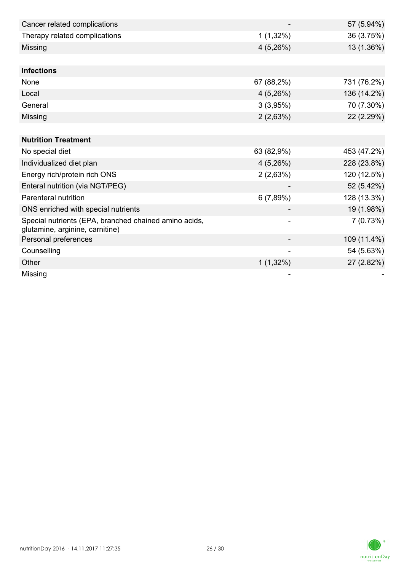| Cancer related complications                                                             |             | 57 (5.94%)  |
|------------------------------------------------------------------------------------------|-------------|-------------|
| Therapy related complications                                                            | $1(1,32\%)$ | 36 (3.75%)  |
| Missing                                                                                  | 4(5,26%)    | 13 (1.36%)  |
|                                                                                          |             |             |
| <b>Infections</b>                                                                        |             |             |
| None                                                                                     | 67 (88,2%)  | 731 (76.2%) |
| Local                                                                                    | 4(5,26%)    | 136 (14.2%) |
| General                                                                                  | 3(3,95%)    | 70 (7.30%)  |
| Missing                                                                                  | 2(2,63%)    | 22 (2.29%)  |
|                                                                                          |             |             |
| <b>Nutrition Treatment</b>                                                               |             |             |
| No special diet                                                                          | 63 (82,9%)  | 453 (47.2%) |
| Individualized diet plan                                                                 | 4(5,26%)    | 228 (23.8%) |
| Energy rich/protein rich ONS                                                             | 2(2,63%)    | 120 (12.5%) |
| Enteral nutrition (via NGT/PEG)                                                          |             | 52 (5.42%)  |
| Parenteral nutrition                                                                     | 6(7,89%)    | 128 (13.3%) |
| ONS enriched with special nutrients                                                      |             | 19 (1.98%)  |
| Special nutrients (EPA, branched chained amino acids,<br>glutamine, arginine, carnitine) |             | 7(0.73%)    |
| Personal preferences                                                                     |             | 109 (11.4%) |
| Counselling                                                                              |             | 54 (5.63%)  |
| Other                                                                                    | $1(1,32\%)$ | 27 (2.82%)  |
| <b>Missing</b>                                                                           |             |             |

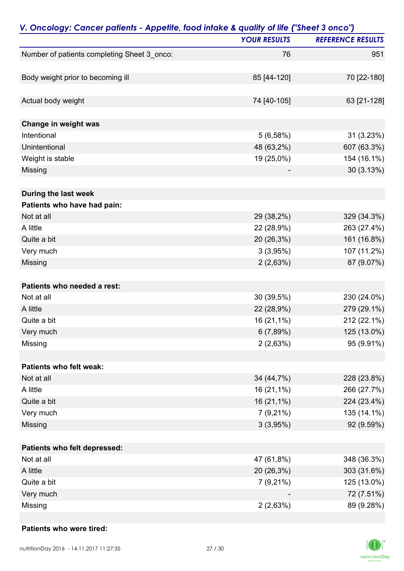| V. Oncology: Cancer patients - Appetite, food intake & quality of life ("Sheet 3 onco") |                     |                          |
|-----------------------------------------------------------------------------------------|---------------------|--------------------------|
|                                                                                         | <b>YOUR RESULTS</b> | <b>REFERENCE RESULTS</b> |
| Number of patients completing Sheet 3_onco:                                             | 76                  | 951                      |
|                                                                                         |                     |                          |
| Body weight prior to becoming ill                                                       | 85 [44-120]         | 70 [22-180]              |
| Actual body weight                                                                      | 74 [40-105]         | 63 [21-128]              |
| Change in weight was                                                                    |                     |                          |
| Intentional                                                                             | 5(6,58%)            | 31 (3.23%)               |
| Unintentional                                                                           | 48 (63,2%)          | 607 (63.3%)              |
| Weight is stable                                                                        | 19 (25,0%)          | 154 (16.1%)              |
| Missing                                                                                 |                     | 30 (3.13%)               |
| During the last week                                                                    |                     |                          |
| Patients who have had pain:                                                             |                     |                          |
| Not at all                                                                              | 29 (38,2%)          | 329 (34.3%)              |
| A little                                                                                | 22 (28,9%)          | 263 (27.4%)              |
| Quite a bit                                                                             | 20 (26,3%)          | 161 (16.8%)              |
| Very much                                                                               | 3(3,95%)            | 107 (11.2%)              |
| Missing                                                                                 | 2(2,63%)            | 87 (9.07%)               |
| Patients who needed a rest:                                                             |                     |                          |
| Not at all                                                                              | 30 (39,5%)          | 230 (24.0%)              |
| A little                                                                                | 22 (28,9%)          | 279 (29.1%)              |
| Quite a bit                                                                             | 16 (21,1%)          | 212 (22.1%)              |
| Very much                                                                               | 6(7,89%)            | 125 (13.0%)              |
| Missing                                                                                 | 2(2,63%)            | 95 (9.91%)               |
|                                                                                         |                     |                          |
| Patients who felt weak:                                                                 |                     |                          |
| Not at all                                                                              | 34 (44,7%)          | 228 (23.8%)              |
| A little                                                                                | 16 (21,1%)          | 266 (27.7%)              |
| Quite a bit                                                                             | 16 (21,1%)          | 224 (23.4%)              |
| Very much                                                                               | $7(9,21\%)$         | 135 (14.1%)              |
| Missing                                                                                 | 3(3,95%)            | 92 (9.59%)               |
| Patients who felt depressed:                                                            |                     |                          |
| Not at all                                                                              | 47 (61,8%)          | 348 (36.3%)              |
| A little                                                                                | 20 (26,3%)          | 303 (31.6%)              |
| Quite a bit                                                                             | $7(9,21\%)$         | 125 (13.0%)              |
| Very much                                                                               |                     | 72 (7.51%)               |
| Missing                                                                                 | 2(2,63%)            | 89 (9.28%)               |

### **Patients who were tired:**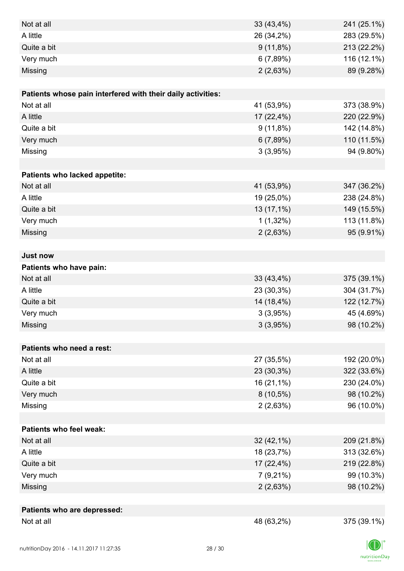| Not at all                                                  | 33 (43,4%)  | 241 (25.1%) |
|-------------------------------------------------------------|-------------|-------------|
| A little                                                    | 26 (34,2%)  | 283 (29.5%) |
| Quite a bit                                                 | $9(11,8\%)$ | 213 (22.2%) |
| Very much                                                   | 6(7,89%)    | 116 (12.1%) |
| Missing                                                     | 2(2,63%)    | 89 (9.28%)  |
|                                                             |             |             |
| Patients whose pain interfered with their daily activities: |             |             |
| Not at all                                                  | 41 (53,9%)  | 373 (38.9%) |
| A little                                                    | 17 (22,4%)  | 220 (22.9%) |
| Quite a bit                                                 | $9(11,8\%)$ | 142 (14.8%) |
| Very much                                                   | 6(7,89%)    | 110 (11.5%) |
| Missing                                                     | 3(3,95%)    | 94 (9.80%)  |
|                                                             |             |             |
| Patients who lacked appetite:                               |             |             |
| Not at all                                                  | 41 (53,9%)  | 347 (36.2%) |
| A little                                                    | 19 (25,0%)  | 238 (24.8%) |
| Quite a bit                                                 | 13 (17,1%)  | 149 (15.5%) |
| Very much                                                   | $1(1,32\%)$ | 113 (11.8%) |
| Missing                                                     | 2(2,63%)    | 95 (9.91%)  |
|                                                             |             |             |
| <b>Just now</b>                                             |             |             |
| Patients who have pain:                                     |             |             |
| Not at all                                                  | 33 (43,4%)  | 375 (39.1%) |
| A little                                                    | 23 (30,3%)  | 304 (31.7%) |
| Quite a bit                                                 | 14 (18,4%)  | 122 (12.7%) |
| Very much                                                   | 3(3,95%)    | 45 (4.69%)  |
| Missing                                                     | 3(3,95%)    | 98 (10.2%)  |
|                                                             |             |             |
| Patients who need a rest:                                   |             |             |
| Not at all                                                  | 27 (35,5%)  | 192 (20.0%) |
| A little                                                    | 23 (30,3%)  | 322 (33.6%) |
| Quite a bit                                                 | 16 (21,1%)  | 230 (24.0%) |
| Very much                                                   | $8(10,5\%)$ | 98 (10.2%)  |
| Missing                                                     | 2(2,63%)    | 96 (10.0%)  |
|                                                             |             |             |
| <b>Patients who feel weak:</b>                              |             |             |
| Not at all                                                  | 32 (42,1%)  | 209 (21.8%) |
| A little                                                    | 18 (23,7%)  | 313 (32.6%) |
| Quite a bit                                                 | 17 (22,4%)  | 219 (22.8%) |
| Very much                                                   | $7(9,21\%)$ | 99 (10.3%)  |
| Missing                                                     | 2(2,63%)    | 98 (10.2%)  |
|                                                             |             |             |
| Patients who are depressed:<br>Not at all                   |             |             |
|                                                             | 48 (63,2%)  | 375 (39.1%) |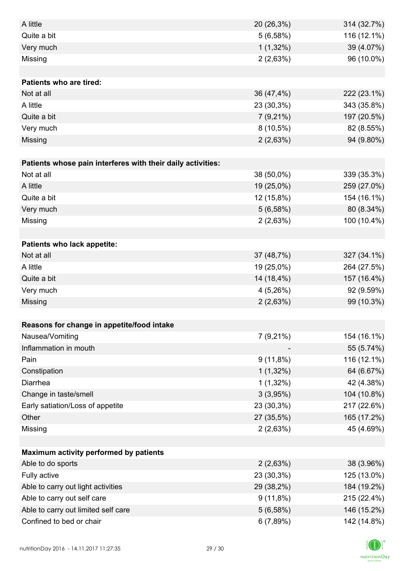| A little                                                    | 20 (26,3%)  | 314 (32.7%) |
|-------------------------------------------------------------|-------------|-------------|
| Quite a bit                                                 | 5(6,58%)    | 116 (12.1%) |
| Very much                                                   | $1(1,32\%)$ | 39 (4.07%)  |
| Missing                                                     | 2(2,63%)    | 96 (10.0%)  |
|                                                             |             |             |
| <b>Patients who are tired:</b>                              |             |             |
| Not at all                                                  | 36 (47,4%)  | 222 (23.1%) |
| A little                                                    | 23 (30,3%)  | 343 (35.8%) |
| Quite a bit                                                 | $7(9,21\%)$ | 197 (20.5%) |
| Very much                                                   | $8(10,5\%)$ | 82 (8.55%)  |
| Missing                                                     | 2(2,63%)    | 94 (9.80%)  |
|                                                             |             |             |
| Patients whose pain interferes with their daily activities: |             |             |
| Not at all                                                  | 38 (50,0%)  | 339 (35.3%) |
| A little                                                    | 19 (25,0%)  | 259 (27.0%) |
| Quite a bit                                                 | 12 (15,8%)  | 154 (16.1%) |
| Very much                                                   | 5(6,58%)    | 80 (8.34%)  |
| Missing                                                     | 2(2,63%)    | 100 (10.4%) |
|                                                             |             |             |
| Patients who lack appetite:                                 |             |             |
| Not at all                                                  | 37 (48,7%)  | 327 (34.1%) |
| A little                                                    | 19 (25,0%)  | 264 (27.5%) |
| Quite a bit                                                 | 14 (18,4%)  | 157 (16.4%) |
| Very much                                                   | 4(5,26%)    | 92 (9.59%)  |
| Missing                                                     | 2(2,63%)    | 99 (10.3%)  |
|                                                             |             |             |
| Reasons for change in appetite/food intake                  |             |             |
| Nausea/Vomiting                                             | $7(9,21\%)$ | 154 (16.1%) |
| Inflammation in mouth                                       |             | 55 (5.74%)  |
| Pain                                                        | $9(11,8\%)$ | 116 (12.1%) |
| Constipation                                                | $1(1,32\%)$ | 64 (6.67%)  |
| Diarrhea                                                    | $1(1,32\%)$ | 42 (4.38%)  |
| Change in taste/smell                                       | 3(3,95%)    | 104 (10.8%) |
| Early satiation/Loss of appetite                            | 23 (30,3%)  | 217 (22.6%) |
| Other                                                       | 27 (35,5%)  | 165 (17.2%) |
| Missing                                                     | 2(2,63%)    | 45 (4.69%)  |
|                                                             |             |             |
| Maximum activity performed by patients                      |             |             |
| Able to do sports                                           | 2(2,63%)    | 38 (3.96%)  |
| Fully active                                                | 23 (30,3%)  | 125 (13.0%) |
| Able to carry out light activities                          | 29 (38,2%)  | 184 (19.2%) |
| Able to carry out self care                                 | $9(11,8\%)$ | 215 (22.4%) |
| Able to carry out limited self care                         | 5(6,58%)    | 146 (15.2%) |
| Confined to bed or chair                                    | 6(7,89%)    | 142 (14.8%) |